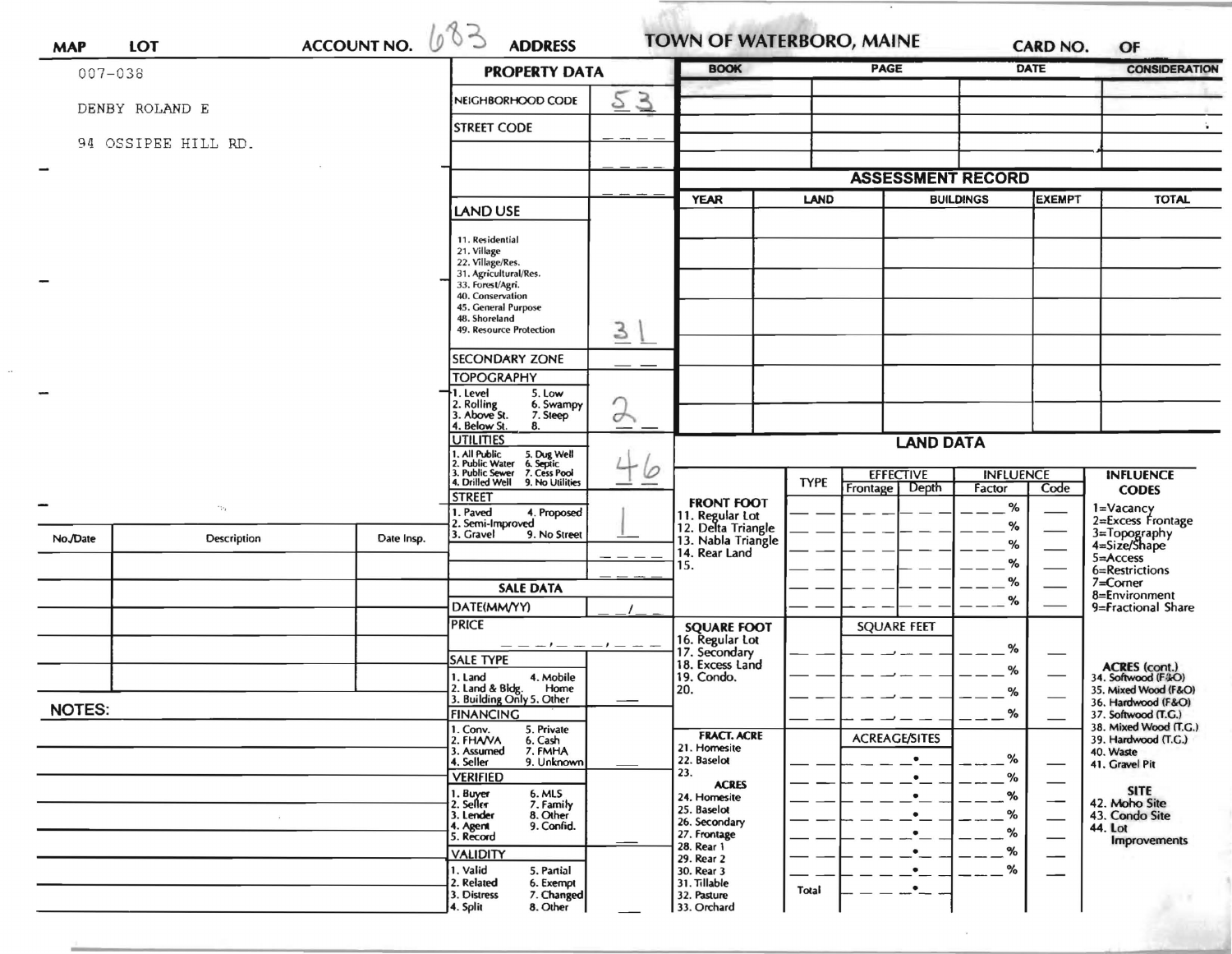| <b>LOT</b><br><b>MAP</b> |                     | <b>ACCOUNT NO.</b>            | 600<br><b>ADDRESS</b>                                                                  |                  | TOWN OF WATERBORO, MAINE                               |                          |                      | <b>CARD NO.</b>  |                          | OF                                                  |  |
|--------------------------|---------------------|-------------------------------|----------------------------------------------------------------------------------------|------------------|--------------------------------------------------------|--------------------------|----------------------|------------------|--------------------------|-----------------------------------------------------|--|
| $007 - 038$              |                     |                               | <b>PROPERTY DATA</b>                                                                   |                  | <b>BOOK</b>                                            |                          | <b>PAGE</b>          |                  | <b>DATE</b>              | <b>CONSIDERATION</b>                                |  |
|                          | DENBY ROLAND E      | 53<br>NEIGHBORHOOD CODE       |                                                                                        |                  |                                                        |                          |                      |                  |                          |                                                     |  |
|                          | 94 OSSIPEE HILL RD. | <b>STREET CODE</b>            |                                                                                        |                  |                                                        |                          |                      |                  |                          |                                                     |  |
| $\overline{\phantom{a}}$ |                     |                               |                                                                                        |                  |                                                        |                          |                      |                  |                          |                                                     |  |
|                          |                     |                               |                                                                                        |                  |                                                        | <b>ASSESSMENT RECORD</b> |                      |                  |                          |                                                     |  |
|                          |                     |                               | <b>LAND USE</b>                                                                        |                  | <b>YEAR</b>                                            | <b>LAND</b>              |                      | <b>BUILDINGS</b> | <b>EXEMPT</b>            | <b>TOTAL</b>                                        |  |
|                          |                     |                               | 11. Residential                                                                        |                  |                                                        |                          |                      |                  |                          |                                                     |  |
|                          |                     |                               | 21. Village<br>22. Village/Res.                                                        |                  |                                                        |                          |                      |                  |                          |                                                     |  |
|                          |                     |                               | 31. Agricultural/Res.<br>33. Forest/Agri.                                              |                  |                                                        |                          |                      |                  |                          |                                                     |  |
|                          |                     |                               | 40. Conservation<br>45. General Purpose<br>48. Shoreland                               |                  |                                                        |                          |                      |                  |                          |                                                     |  |
|                          |                     |                               | 49. Resource Protection                                                                | 3                |                                                        |                          |                      |                  |                          |                                                     |  |
|                          |                     |                               | <b>SECONDARY ZONE</b>                                                                  |                  |                                                        |                          |                      |                  |                          |                                                     |  |
|                          |                     |                               | <b>TOPOGRAPHY</b>                                                                      |                  |                                                        |                          |                      |                  |                          |                                                     |  |
|                          |                     |                               | 1. Level<br>5. Low<br>2. Rolling<br>3. Above St.<br>6. Swampy                          |                  |                                                        |                          |                      |                  |                          |                                                     |  |
|                          |                     | 7. Steep<br>. Below St.<br>8. | $\rightarrow$                                                                          |                  |                                                        |                          |                      |                  |                          |                                                     |  |
|                          |                     | <b>UTILITIES</b>              |                                                                                        | <b>LAND DATA</b> |                                                        |                          |                      |                  |                          |                                                     |  |
|                          |                     |                               | 1. All Public 5. Dug Well<br>2. Public Water 6. Septic<br>3. Public Sewer 7. Cess Pool | 0                |                                                        |                          | <b>EFFECTIVE</b>     | <b>INFLUENCE</b> |                          | <b>INFLUENCE</b>                                    |  |
|                          |                     |                               | 4. Drilled Well 9. No Utilities<br><b>STREET</b>                                       |                  | <b>FRONT FOOT</b>                                      | <b>TYPE</b><br>Frontage  | Depth                | Factor           | Code                     | <b>CODES</b>                                        |  |
| -                        | $\gamma_{\rm R}$    |                               | I. Paved<br>4. Proposed<br>2. Semi-Improved                                            |                  | 11. Regular Lot<br>12. Delta Triangle                  |                          |                      | $\%$<br>%        |                          | 1=Vacancy<br>2=Excess Frontage                      |  |
| No./Date                 | <b>Description</b>  | Date Insp.                    | 3. Gravel<br>9. No Street                                                              |                  | 13. Nabla Triangle                                     |                          |                      | %                |                          | 3=Topography<br>4=Size/Shape                        |  |
|                          |                     |                               |                                                                                        |                  | 14. Rear Land<br>15.                                   |                          |                      | %                |                          | 5=Access<br>6=Restrictions                          |  |
|                          |                     |                               | <b>SALE DATA</b>                                                                       |                  |                                                        |                          |                      | $\%$<br>%        |                          | $7 =$ Corner<br>8=Environment<br>9=Fractional Share |  |
|                          |                     |                               | DATE(MM/YY)                                                                            |                  |                                                        |                          |                      |                  |                          |                                                     |  |
|                          |                     |                               | <b>PRICE</b>                                                                           |                  | <b>SQUARE FOOT</b><br>16. Regular Lot<br>17. Secondary |                          | <b>SQUARE FEET</b>   |                  |                          |                                                     |  |
|                          |                     |                               | <b>SALE TYPE</b>                                                                       |                  | 18. Excess Land                                        |                          |                      | %                |                          |                                                     |  |
|                          |                     |                               | 1. Land<br>4. Mobile<br>Home                                                           |                  | 19. Condo.                                             |                          |                      | %                |                          | ACRES (cont.)<br>34. Softwood (F&O)                 |  |
| <b>NOTES:</b>            |                     |                               | 2. Land & Bldg. Home<br>3. Building Only 5. Other                                      |                  | 20.                                                    |                          |                      | %                |                          | 35. Mixed Wood (F&O)<br>36. Hardwood (F&O)          |  |
|                          |                     |                               | <b>FINANCING</b><br>1. Conv.<br>5. Private                                             |                  |                                                        |                          |                      | %                |                          | 37. Softwood (T.G.)<br>38. Mixed Wood (T.G.)        |  |
|                          |                     |                               | 2. FHAVA<br>6. Cash<br>3. Assumed<br>7. FMHA                                           |                  | <b>FRACT. ACRE</b><br>21. Homesite                     |                          | <b>ACREAGE/SITES</b> |                  |                          | 39. Hardwood (T.G.)<br>40. Waste                    |  |
|                          |                     |                               | 4. Seller<br>9. Unknown<br><b>VERIFIED</b>                                             |                  | 22. Baselot<br>23.                                     |                          |                      | %<br>%           |                          | 41. Gravel Pit                                      |  |
|                          |                     |                               | 1. Buyer<br>2. Seller                                                                  |                  | <b>ACRES</b><br>24. Homesite                           |                          |                      | %                |                          | <b>SITE</b>                                         |  |
|                          |                     |                               | 6. MLS<br>7. Family<br>8. Other<br>3. Lender                                           |                  | 25. Baselot<br>26. Secondary                           |                          |                      | %                | —                        | 42. Moho Site<br>43. Condo Site                     |  |
|                          |                     |                               | 9. Confid.<br>4. Agent<br>5. Record                                                    |                  | 27. Frontage<br>28. Rear 1                             |                          |                      | %                | $\overline{\phantom{0}}$ | 44. Lot<br><b>Improvements</b>                      |  |
|                          |                     |                               | <b>VALIDITY</b><br>1. Valid                                                            |                  | 29. Rear 2                                             |                          |                      | %<br>%           |                          |                                                     |  |
|                          |                     |                               | 5. Partial<br>2. Related<br>6. Exempt                                                  |                  | 30. Rear 3<br>31. Tillable                             | Total                    | $\bullet$            |                  |                          |                                                     |  |
|                          |                     |                               | 3. Distress<br>7. Changed<br>4. Split<br>8. Other                                      |                  | 32. Pasture<br>33. Orchard                             |                          |                      |                  |                          |                                                     |  |